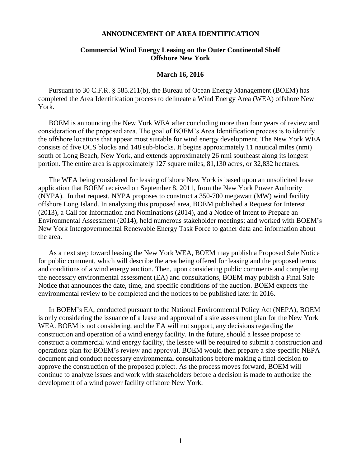## **ANNOUNCEMENT OF AREA IDENTIFICATION**

## **Commercial Wind Energy Leasing on the Outer Continental Shelf Offshore New York**

#### **March 16, 2016**

Pursuant to 30 C.F.R. § 585.211(b), the Bureau of Ocean Energy Management (BOEM) has completed the Area Identification process to delineate a Wind Energy Area (WEA) offshore New York.

BOEM is announcing the New York WEA after concluding more than four years of review and consideration of the proposed area. The goal of BOEM's Area Identification process is to identify the offshore locations that appear most suitable for wind energy development. The New York WEA consists of five OCS blocks and 148 sub-blocks. It begins approximately 11 nautical miles (nmi) south of Long Beach, New York, and extends approximately 26 nmi southeast along its longest portion. The entire area is approximately 127 square miles, 81,130 acres, or 32,832 hectares.

The WEA being considered for leasing offshore New York is based upon an unsolicited lease application that BOEM received on September 8, 2011, from the New York Power Authority (NYPA). In that request, NYPA proposes to construct a 350-700 megawatt (MW) wind facility offshore Long Island. In analyzing this proposed area, BOEM published a Request for Interest (2013), a Call for Information and Nominations (2014), and a Notice of Intent to Prepare an Environmental Assessment (2014); held numerous stakeholder meetings; and worked with BOEM's New York Intergovernmental Renewable Energy Task Force to gather data and information about the area.

As a next step toward leasing the New York WEA, BOEM may publish a Proposed Sale Notice for public comment, which will describe the area being offered for leasing and the proposed terms and conditions of a wind energy auction. Then, upon considering public comments and completing the necessary environmental assessment (EA) and consultations, BOEM may publish a Final Sale Notice that announces the date, time, and specific conditions of the auction. BOEM expects the environmental review to be completed and the notices to be published later in 2016.

In BOEM's EA, conducted pursuant to the National Environmental Policy Act (NEPA), BOEM is only considering the issuance of a lease and approval of a site assessment plan for the New York WEA. BOEM is not considering, and the EA will not support, any decisions regarding the construction and operation of a wind energy facility. In the future, should a lessee propose to construct a commercial wind energy facility, the lessee will be required to submit a construction and operations plan for BOEM's review and approval. BOEM would then prepare a site-specific NEPA document and conduct necessary environmental consultations before making a final decision to approve the construction of the proposed project. As the process moves forward, BOEM will continue to analyze issues and work with stakeholders before a decision is made to authorize the development of a wind power facility offshore New York.